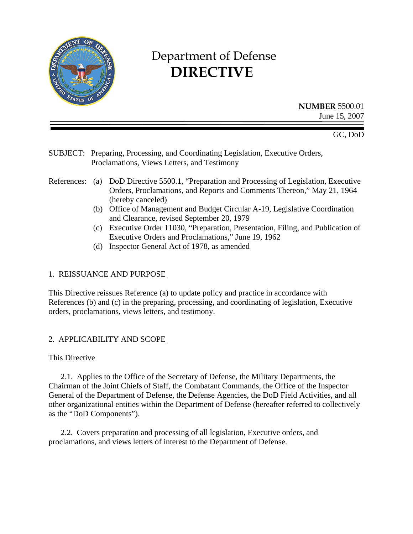

# Department of Defense  **DIRECTIVE**

**NUMBER** 5500.01 June 15, 2007

GC, DoD

SUBJECT: Preparing, Processing, and Coordinating Legislation, Executive Orders, Proclamations, Views Letters, and Testimony

- References: (a) DoD Directive 5500.1, "Preparation and Processing of Legislation, Executive Orders, Proclamations, and Reports and Comments Thereon," May 21, 1964 (hereby canceled)
	- (b) Office of Management and Budget Circular A-19, Legislative Coordination and Clearance, revised September 20, 1979
	- (c) Executive Order 11030, "Preparation, Presentation, Filing, and Publication of Executive Orders and Proclamations," June 19, 1962
	- (d) Inspector General Act of 1978, as amended

#### 1. REISSUANCE AND PURPOSE

This Directive reissues Reference (a) to update policy and practice in accordance with References (b) and (c) in the preparing, processing, and coordinating of legislation, Executive orders, proclamations, views letters, and testimony.

### 2. APPLICABILITY AND SCOPE

This Directive

 2.1. Applies to the Office of the Secretary of Defense, the Military Departments, the Chairman of the Joint Chiefs of Staff, the Combatant Commands, the Office of the Inspector General of the Department of Defense, the Defense Agencies, the DoD Field Activities, and all other organizational entities within the Department of Defense (hereafter referred to collectively as the "DoD Components").

 2.2. Covers preparation and processing of all legislation, Executive orders, and proclamations, and views letters of interest to the Department of Defense.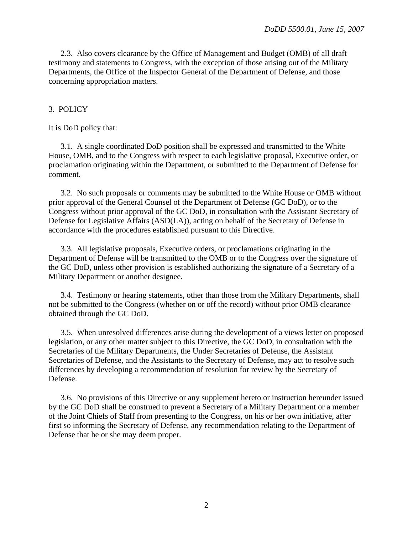2.3. Also covers clearance by the Office of Management and Budget (OMB) of all draft testimony and statements to Congress, with the exception of those arising out of the Military Departments, the Office of the Inspector General of the Department of Defense, and those concerning appropriation matters.

#### 3. POLICY

It is DoD policy that:

 3.1. A single coordinated DoD position shall be expressed and transmitted to the White House, OMB, and to the Congress with respect to each legislative proposal, Executive order, or proclamation originating within the Department, or submitted to the Department of Defense for comment.

 3.2. No such proposals or comments may be submitted to the White House or OMB without prior approval of the General Counsel of the Department of Defense (GC DoD), or to the Congress without prior approval of the GC DoD, in consultation with the Assistant Secretary of Defense for Legislative Affairs (ASD(LA)), acting on behalf of the Secretary of Defense in accordance with the procedures established pursuant to this Directive.

 3.3. All legislative proposals, Executive orders, or proclamations originating in the Department of Defense will be transmitted to the OMB or to the Congress over the signature of the GC DoD, unless other provision is established authorizing the signature of a Secretary of a Military Department or another designee.

 3.4. Testimony or hearing statements, other than those from the Military Departments, shall not be submitted to the Congress (whether on or off the record) without prior OMB clearance obtained through the GC DoD.

 3.5. When unresolved differences arise during the development of a views letter on proposed legislation, or any other matter subject to this Directive, the GC DoD, in consultation with the Secretaries of the Military Departments, the Under Secretaries of Defense, the Assistant Secretaries of Defense, and the Assistants to the Secretary of Defense, may act to resolve such differences by developing a recommendation of resolution for review by the Secretary of Defense.

 3.6. No provisions of this Directive or any supplement hereto or instruction hereunder issued by the GC DoD shall be construed to prevent a Secretary of a Military Department or a member of the Joint Chiefs of Staff from presenting to the Congress, on his or her own initiative, after first so informing the Secretary of Defense, any recommendation relating to the Department of Defense that he or she may deem proper.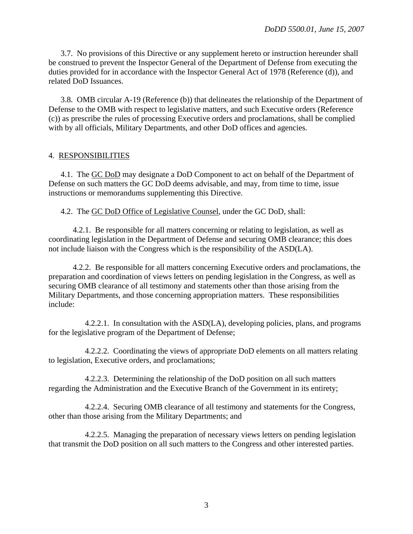3.7. No provisions of this Directive or any supplement hereto or instruction hereunder shall be construed to prevent the Inspector General of the Department of Defense from executing the duties provided for in accordance with the Inspector General Act of 1978 (Reference (d)), and related DoD Issuances.

 3.8. OMB circular A-19 (Reference (b)) that delineates the relationship of the Department of Defense to the OMB with respect to legislative matters, and such Executive orders (Reference (c)) as prescribe the rules of processing Executive orders and proclamations, shall be complied with by all officials, Military Departments, and other DoD offices and agencies.

#### 4. RESPONSIBILITIES

4.1. The GC DoD may designate a DoD Component to act on behalf of the Department of Defense on such matters the GC DoD deems advisable, and may, from time to time, issue instructions or memorandums supplementing this Directive.

4.2. The GC DoD Office of Legislative Counsel, under the GC DoD, shall:

 4.2.1. Be responsible for all matters concerning or relating to legislation, as well as coordinating legislation in the Department of Defense and securing OMB clearance; this does not include liaison with the Congress which is the responsibility of the ASD(LA).

 4.2.2. Be responsible for all matters concerning Executive orders and proclamations, the preparation and coordination of views letters on pending legislation in the Congress, as well as securing OMB clearance of all testimony and statements other than those arising from the Military Departments, and those concerning appropriation matters. These responsibilities include:

 4.2.2.1. In consultation with the ASD(LA), developing policies, plans, and programs for the legislative program of the Department of Defense;

 4.2.2.2. Coordinating the views of appropriate DoD elements on all matters relating to legislation, Executive orders, and proclamations;

 4.2.2.3. Determining the relationship of the DoD position on all such matters regarding the Administration and the Executive Branch of the Government in its entirety;

 4.2.2.4. Securing OMB clearance of all testimony and statements for the Congress, other than those arising from the Military Departments; and

 4.2.2.5. Managing the preparation of necessary views letters on pending legislation that transmit the DoD position on all such matters to the Congress and other interested parties.